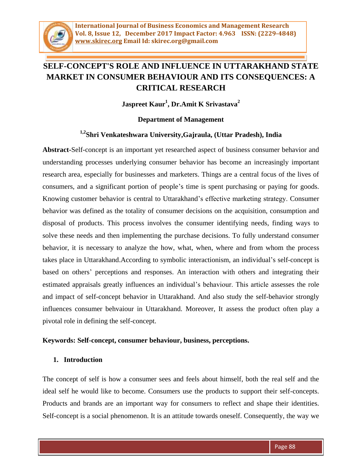

# **SELF-CONCEPT'S ROLE AND INFLUENCE IN UTTARAKHAND STATE MARKET IN CONSUMER BEHAVIOUR AND ITS CONSEQUENCES: A CRITICAL RESEARCH**

**Jaspreet Kaur<sup>1</sup> , Dr.Amit K Srivastava<sup>2</sup>**

## **Department of Management**

# **1,2Shri Venkateshwara University,Gajraula, (Uttar Pradesh), India**

**Abstract-**Self-concept is an important yet researched aspect of business consumer behavior and understanding processes underlying consumer behavior has become an increasingly important research area, especially for businesses and marketers. Things are a central focus of the lives of consumers, and a significant portion of people's time is spent purchasing or paying for goods. Knowing customer behavior is central to Uttarakhand's effective marketing strategy. Consumer behavior was defined as the totality of consumer decisions on the acquisition, consumption and disposal of products. This process involves the consumer identifying needs, finding ways to solve these needs and then implementing the purchase decisions. To fully understand consumer behavior, it is necessary to analyze the how, what, when, where and from whom the process takes place in Uttarakhand.According to symbolic interactionism, an individual's self-concept is based on others' perceptions and responses. An interaction with others and integrating their estimated appraisals greatly influences an individual's behaviour. This article assesses the role and impact of self-concept behavior in Uttarakhand. And also study the self-behavior strongly influences consumer behvaiour in Uttarakhand. Moreover, It assess the product often play a pivotal role in defining the self-concept.

#### **Keywords: Self-concept, consumer behaviour, business, perceptions.**

#### **1. Introduction**

The concept of self is how a consumer sees and feels about himself, both the real self and the ideal self he would like to become. Consumers use the products to support their self-concepts. Products and brands are an important way for consumers to reflect and shape their identities. Self-concept is a social phenomenon. It is an attitude towards oneself. Consequently, the way we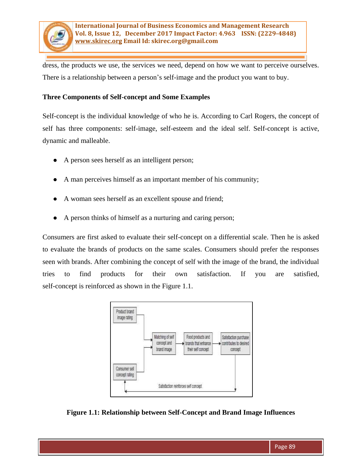

dress, the products we use, the services we need, depend on how we want to perceive ourselves. There is a relationship between a person's self-image and the product you want to buy.

### **Three Components of Self-concept and Some Examples**

Self-concept is the individual knowledge of who he is. According to Carl Rogers, the concept of self has three components: self-image, self-esteem and the ideal self. Self-concept is active, dynamic and malleable.

- A person sees herself as an intelligent person;
- A man perceives himself as an important member of his community;
- A woman sees herself as an excellent spouse and friend;
- A person thinks of himself as a nurturing and caring person;

Consumers are first asked to evaluate their self-concept on a differential scale. Then he is asked to evaluate the brands of products on the same scales. Consumers should prefer the responses seen with brands. After combining the concept of self with the image of the brand, the individual tries to find products for their own satisfaction. If you are satisfied, self-concept is reinforced as shown in the Figure 1.1.



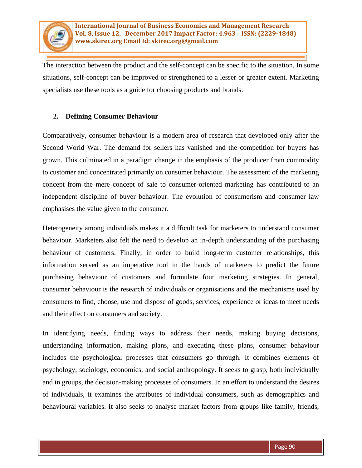

The interaction between the product and the self-concept can be specific to the situation. In some situations, self-concept can be improved or strengthened to a lesser or greater extent. Marketing specialists use these tools as a guide for choosing products and brands.

### **2. Defining Consumer Behaviour**

Comparatively, consumer behaviour is a modern area of research that developed only after the Second World War. The demand for sellers has vanished and the competition for buyers has grown. This culminated in a paradigm change in the emphasis of the producer from commodity to customer and concentrated primarily on consumer behaviour. The assessment of the marketing concept from the mere concept of sale to consumer-oriented marketing has contributed to an independent discipline of buyer behaviour. The evolution of consumerism and consumer law emphasises the value given to the consumer.

Heterogeneity among individuals makes it a difficult task for marketers to understand consumer behaviour. Marketers also felt the need to develop an in-depth understanding of the purchasing behaviour of customers. Finally, in order to build long-term customer relationships, this information served as an imperative tool in the hands of marketers to predict the future purchasing behaviour of customers and formulate four marketing strategies. In general, consumer behaviour is the research of individuals or organisations and the mechanisms used by consumers to find, choose, use and dispose of goods, services, experience or ideas to meet needs and their effect on consumers and society.

In identifying needs, finding ways to address their needs, making buying decisions, understanding information, making plans, and executing these plans, consumer behaviour includes the psychological processes that consumers go through. It combines elements of psychology, sociology, economics, and social anthropology. It seeks to grasp, both individually and in groups, the decision-making processes of consumers. In an effort to understand the desires of individuals, it examines the attributes of individual consumers, such as demographics and behavioural variables. It also seeks to analyse market factors from groups like family, friends,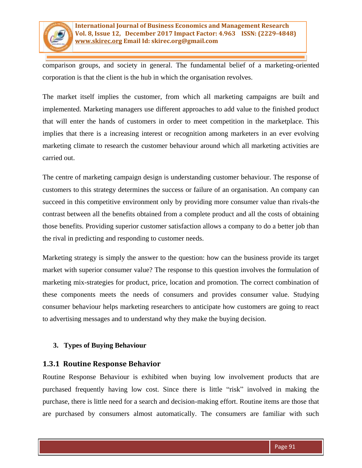

comparison groups, and society in general. The fundamental belief of a marketing-oriented corporation is that the client is the hub in which the organisation revolves.

The market itself implies the customer, from which all marketing campaigns are built and implemented. Marketing managers use different approaches to add value to the finished product that will enter the hands of customers in order to meet competition in the marketplace. This implies that there is a increasing interest or recognition among marketers in an ever evolving marketing climate to research the customer behaviour around which all marketing activities are carried out.

The centre of marketing campaign design is understanding customer behaviour. The response of customers to this strategy determines the success or failure of an organisation. An company can succeed in this competitive environment only by providing more consumer value than rivals-the contrast between all the benefits obtained from a complete product and all the costs of obtaining those benefits. Providing superior customer satisfaction allows a company to do a better job than the rival in predicting and responding to customer needs.

Marketing strategy is simply the answer to the question: how can the business provide its target market with superior consumer value? The response to this question involves the formulation of marketing mix-strategies for product, price, location and promotion. The correct combination of these components meets the needs of consumers and provides consumer value. Studying consumer behaviour helps marketing researchers to anticipate how customers are going to react to advertising messages and to understand why they make the buying decision.

## **3. Types of Buying Behaviour**

## **1.3.1 Routine Response Behavior**

Routine Response Behaviour is exhibited when buying low involvement products that are purchased frequently having low cost. Since there is little "risk" involved in making the purchase, there is little need for a search and decision-making effort. Routine items are those that are purchased by consumers almost automatically. The consumers are familiar with such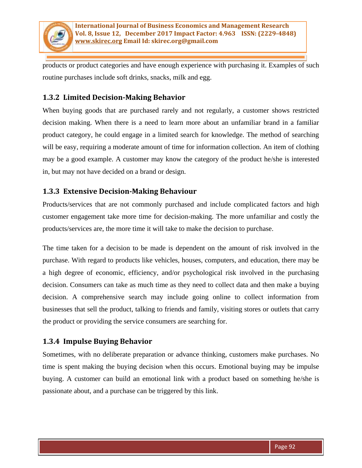

products or product categories and have enough experience with purchasing it. Examples of such routine purchases include soft drinks, snacks, milk and egg.

# **1.3.2 Limited Decision-Making Behavior**

When buying goods that are purchased rarely and not regularly, a customer shows restricted decision making. When there is a need to learn more about an unfamiliar brand in a familiar product category, he could engage in a limited search for knowledge. The method of searching will be easy, requiring a moderate amount of time for information collection. An item of clothing may be a good example. A customer may know the category of the product he/she is interested in, but may not have decided on a brand or design.

# **1.3.3 Extensive Decision-Making Behaviour**

Products/services that are not commonly purchased and include complicated factors and high customer engagement take more time for decision-making. The more unfamiliar and costly the products/services are, the more time it will take to make the decision to purchase.

The time taken for a decision to be made is dependent on the amount of risk involved in the purchase. With regard to products like vehicles, houses, computers, and education, there may be a high degree of economic, efficiency, and/or psychological risk involved in the purchasing decision. Consumers can take as much time as they need to collect data and then make a buying decision. A comprehensive search may include going online to collect information from businesses that sell the product, talking to friends and family, visiting stores or outlets that carry the product or providing the service consumers are searching for.

# **1.3.4 Impulse Buying Behavior**

Sometimes, with no deliberate preparation or advance thinking, customers make purchases. No time is spent making the buying decision when this occurs. Emotional buying may be impulse buying. A customer can build an emotional link with a product based on something he/she is passionate about, and a purchase can be triggered by this link.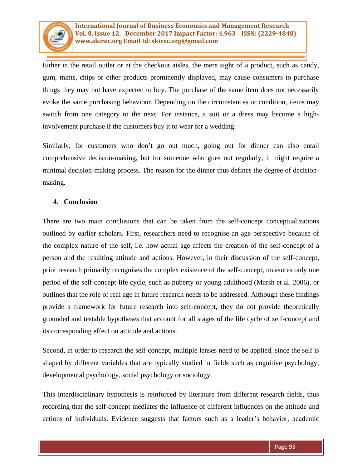

Either in the retail outlet or at the checkout aisles, the mere sight of a product, such as candy, gum, mints, chips or other products prominently displayed, may cause consumers to purchase things they may not have expected to buy. The purchase of the same item does not necessarily evoke the same purchasing behaviour. Depending on the circumstances or condition, items may switch from one category to the next. For instance, a suit or a dress may become a highinvolvement purchase if the customers buy it to wear for a wedding.

Similarly, for customers who don't go out much, going out for dinner can also entail comprehensive decision-making, but for someone who goes out regularly, it might require a minimal decision-making process. The reason for the dinner thus defines the degree of decisionmaking.

#### **4. Conclusion**

There are two main conclusions that can be taken from the self-concept conceptualizations outlined by earlier scholars. First, researchers need to recognise an age perspective because of the complex nature of the self, i.e. how actual age affects the creation of the self-concept of a person and the resulting attitude and actions. However, in their discussion of the self-concept, prior research primarily recognises the complex existence of the self-concept, measures only one period of the self-concept-life cycle, such as puberty or young adulthood (Marsh et al. 2006), or outlines that the role of real age in future research needs to be addressed. Although these findings provide a framework for future research into self-concept, they do not provide theoretically grounded and testable hypotheses that account for all stages of the life cycle of self-concept and its corresponding effect on attitude and actions.

Second, in order to research the self-concept, multiple lenses need to be applied, since the self is shaped by different variables that are typically studied in fields such as cognitive psychology, developmental psychology, social psychology or sociology.

This interdisciplinary hypothesis is reinforced by literature from different research fields, thus recording that the self-concept mediates the influence of different influences on the attitude and actions of individuals. Evidence suggests that factors such as a leader's behavior, academic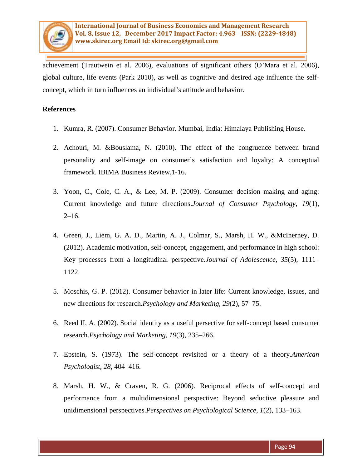

achievement (Trautwein et al. 2006), evaluations of significant others (O'Mara et al. 2006), global culture, life events (Park 2010), as well as cognitive and desired age influence the selfconcept, which in turn influences an individual's attitude and behavior.

#### **References**

- 1. Kumra, R. (2007). Consumer Behavior. Mumbai, India: Himalaya Publishing House.
- 2. Achouri, M. &Bouslama, N. (2010). The effect of the congruence between brand personality and self-image on consumer's satisfaction and loyalty: A conceptual framework. IBIMA Business Review,1-16.
- 3. Yoon, C., Cole, C. A., & Lee, M. P. (2009). Consumer decision making and aging: Current knowledge and future directions.*Journal of Consumer Psychology, 19*(1),  $2-16.$
- 4. Green, J., Liem, G. A. D., Martin, A. J., Colmar, S., Marsh, H. W., &McInerney, D. (2012). Academic motivation, self-concept, engagement, and performance in high school: Key processes from a longitudinal perspective.*Journal of Adolescence, 35*(5), 1111– 1122.
- 5. Moschis, G. P. (2012). Consumer behavior in later life: Current knowledge, issues, and new directions for research.*Psychology and Marketing, 29*(2), 57–75.
- 6. Reed II, A. (2002). Social identity as a useful persective for self-concept based consumer research.*Psychology and Marketing, 19*(3), 235–266.
- 7. Epstein, S. (1973). The self-concept revisited or a theory of a theory.*American Psychologist, 28*, 404–416.
- 8. Marsh, H. W., & Craven, R. G. (2006). Reciprocal effects of self-concept and performance from a multidimensional perspective: Beyond seductive pleasure and unidimensional perspectives.*Perspectives on Psychological Science, 1*(2), 133–163.